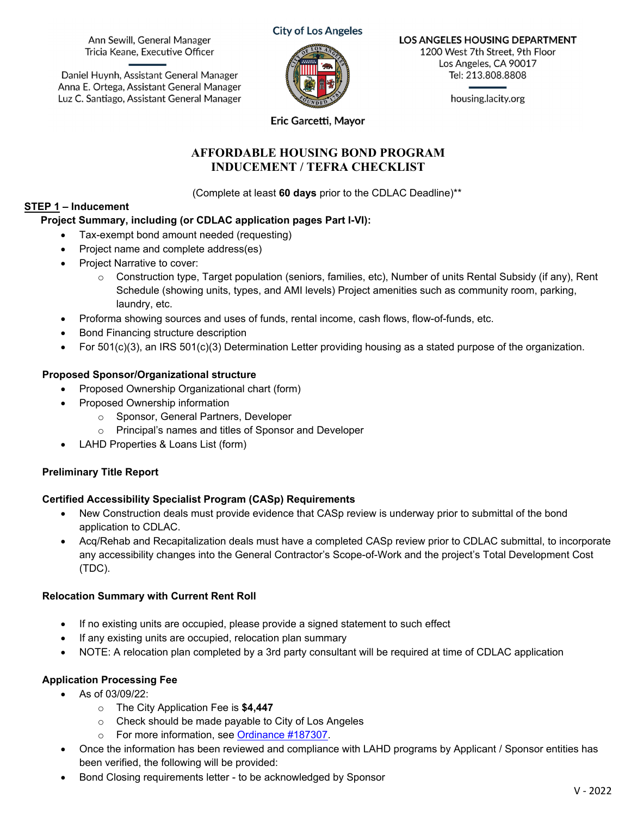Ann Sewill, General Manager Tricia Keane, Executive Officer

Daniel Huynh, Assistant General Manager Anna E. Ortega, Assistant General Manager Luz C. Santiago, Assistant General Manager



**LOS ANGELES HOUSING DEPARTMENT**  1200 West 7th Street, 9th Floor Los Angeles, CA 90017 Tel: 213.808.8808

housing.lacity.org

**Eric Garcetti, Mayor** 

### **AFFORDABLE HOUSING BOND PROGRAM INDUCEMENT / TEFRA CHECKLIST**

(Complete at least **60 days** prior to the CDLAC Deadline)\*\*

# **STEP 1 – Inducement**

### **Project Summary, including (or CDLAC application pages Part I-VI):**

- Tax-exempt bond amount needed (requesting)
- Project name and complete address(es)
- Project Narrative to cover:
	- $\circ$  Construction type, Target population (seniors, families, etc), Number of units Rental Subsidy (if any), Rent Schedule (showing units, types, and AMI levels) Project amenities such as community room, parking, laundry, etc.
- Proforma showing sources and uses of funds, rental income, cash flows, flow-of-funds, etc.
- **•** Bond Financing structure description
- For  $501(c)(3)$ , an IRS  $501(c)(3)$  Determination Letter providing housing as a stated purpose of the organization.

### **Proposed Sponsor/Organizational structure**

- Proposed Ownership Organizational chart (form)
- Proposed Ownership information
	- o Sponsor, General Partners, Developer
	- o Principal's names and titles of Sponsor and Developer
- LAHD Properties & Loans List (form)

# **Preliminary Title Report**

#### **Certified Accessibility Specialist Program (CASp) Requirements**

- New Construction deals must provide evidence that CASp review is underway prior to submittal of the bond application to CDLAC.
- Acq/Rehab and Recapitalization deals must have a completed CASp review prior to CDLAC submittal, to incorporate any accessibility changes into the General Contractor's Scope-of-Work and the project's Total Development Cost (TDC).

# **Relocation Summary with Current Rent Roll**

- If no existing units are occupied, please provide a signed statement to such effect
- If any existing units are occupied, relocation plan summary
- NOTE: A relocation plan completed by a 3rd party consultant will be required at time of CDLAC application

# **Application Processing Fee**

- As of 03/09/22:
	- o The City Application Fee is **\$4,447**
	- o Check should be made payable to City of Los Angeles
	- o For more information, see Ordinance #187307.
- Once the information has been reviewed and compliance with LAHD programs by Applicant / Sponsor entities has been verified, the following will be provided:
- Bond Closing requirements letter to be acknowledged by Sponsor